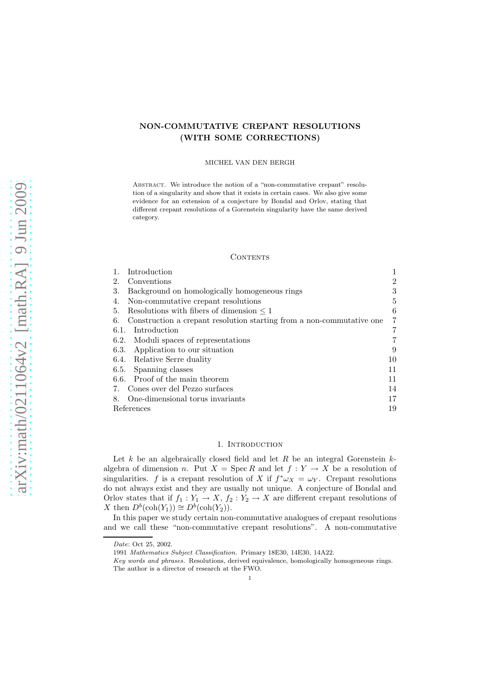# NON-COMMUTATIVE CREPANT RESOLUTIONS (WITH SOME CORRECTIONS)

#### MICHEL VAN DEN BERGH

ABSTRACT. We introduce the notion of a "non-commutative crepant" resolution of a singularity and show that it exists in certain cases. We also give some evidence for an extension of a conjecture by Bondal and Orlov, stating that different crepant resolutions of a Gorenstein singularity have the same derived category.

## CONTENTS

| Introduction                                                                |                |
|-----------------------------------------------------------------------------|----------------|
| Conventions<br>2.                                                           | $\overline{2}$ |
| Background on homologically homogeneous rings<br>3.                         | 3              |
| Non-commutative crepant resolutions<br>4.                                   | 5              |
| Resolutions with fibers of dimension $\leq 1$<br>5.                         | 6              |
| Construction a crepant resolution starting from a non-commutative one<br>6. | 7              |
| Introduction<br>6.1.                                                        | 7              |
| Moduli spaces of representations<br>6.2.                                    | 7              |
| Application to our situation<br>6.3.                                        | 9              |
| Relative Serre duality<br>6.4.                                              | 10             |
| Spanning classes<br>6.5.                                                    | 11             |
| Proof of the main theorem<br>6.6.                                           | 11             |
| Cones over del Pezzo surfaces<br>7.                                         | 14             |
| One-dimensional torus invariants<br>8.                                      | 17             |
| References                                                                  | 19             |

# 1. INTRODUCTION

Let  $k$  be an algebraically closed field and let  $R$  be an integral Gorenstein  $k$ algebra of dimension n. Put  $X = \operatorname{Spec} R$  and let  $f : Y \to X$  be a resolution of singularities. f is a crepant resolution of X if  $f^* \omega_X = \omega_Y$ . Crepant resolutions do not always exist and they are usually not unique. A conjecture of Bondal and Orlov states that if  $f_1 : Y_1 \to X$ ,  $f_2 : Y_2 \to X$  are different crepant resolutions of X then  $D^b(\text{coh}(Y_1)) \cong D^b(\text{coh}(Y_2)).$ 

In this paper we study certain non-commutative analogues of crepant resolutions and we call these "non-commutative crepant resolutions". A non-commutative

Date: Oct 25, 2002.

<sup>1991</sup> Mathematics Subject Classification. Primary 18E30, 14E30, 14A22.

Key words and phrases. Resolutions, derived equivalence, homologically homogeneous rings. The author is a director of research at the FWO.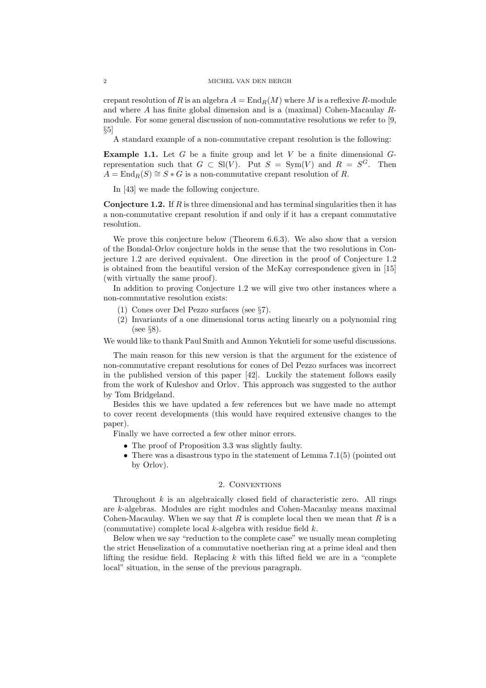crepant resolution of R is an algebra  $A = \text{End}_{R}(M)$  where M is a reflexive R-module and where A has finite global dimension and is a (maximal) Cohen-Macaulay Rmodule. For some general discussion of non-commutative resolutions we refer to [9,  $\S5$ ]

A standard example of a non-commutative crepant resolution is the following:

**Example 1.1.** Let  $G$  be a finite group and let  $V$  be a finite dimensional  $G$ representation such that  $G \subset SI(V)$ . Put  $S = Sym(V)$  and  $R = S^G$ . Then  $A = \text{End}_{R}(S) \cong S * G$  is a non-commutative crepant resolution of R.

In [43] we made the following conjecture.

**Conjecture 1.2.** If  $R$  is three dimensional and has terminal singularities then it has a non-commutative crepant resolution if and only if it has a crepant commutative resolution.

We prove this conjecture below (Theorem 6.6.3). We also show that a version of the Bondal-Orlov conjecture holds in the sense that the two resolutions in Conjecture 1.2 are derived equivalent. One direction in the proof of Conjecture 1.2 is obtained from the beautiful version of the McKay correspondence given in [15] (with virtually the same proof).

In addition to proving Conjecture 1.2 we will give two other instances where a non-commutative resolution exists:

- (1) Cones over Del Pezzo surfaces (see §7).
- (2) Invariants of a one dimensional torus acting linearly on a polynomial ring (see §8).

We would like to thank Paul Smith and Amnon Yekutieli for some useful discussions.

The main reason for this new version is that the argument for the existence of non-commutative crepant resolutions for cones of Del Pezzo surfaces was incorrect in the published version of this paper [42]. Luckily the statement follows easily from the work of Kuleshov and Orlov. This approach was suggested to the author by Tom Bridgeland.

Besides this we have updated a few references but we have made no attempt to cover recent developments (this would have required extensive changes to the paper).

Finally we have corrected a few other minor errors.

- The proof of Proposition 3.3 was slightly faulty.
- There was a disastrous typo in the statement of Lemma 7.1(5) (pointed out by Orlov).

### 2. Conventions

Throughout  $k$  is an algebraically closed field of characteristic zero. All rings are k-algebras. Modules are right modules and Cohen-Macaulay means maximal Cohen-Macaulay. When we say that  $R$  is complete local then we mean that  $R$  is a (commutative) complete local  $k$ -algebra with residue field  $k$ .

Below when we say "reduction to the complete case" we usually mean completing the strict Henselization of a commutative noetherian ring at a prime ideal and then lifting the residue field. Replacing  $k$  with this lifted field we are in a "complete" local" situation, in the sense of the previous paragraph.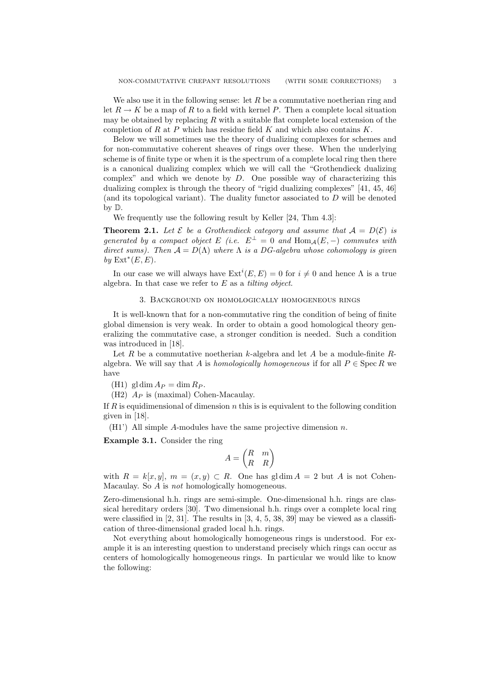We also use it in the following sense: let  $R$  be a commutative noetherian ring and let  $R \to K$  be a map of R to a field with kernel P. Then a complete local situation may be obtained by replacing  $R$  with a suitable flat complete local extension of the completion of  $R$  at  $P$  which has residue field  $K$  and which also contains  $K$ .

Below we will sometimes use the theory of dualizing complexes for schemes and for non-commutative coherent sheaves of rings over these. When the underlying scheme is of finite type or when it is the spectrum of a complete local ring then there is a canonical dualizing complex which we will call the "Grothendieck dualizing complex" and which we denote by  $D$ . One possible way of characterizing this dualizing complex is through the theory of "rigid dualizing complexes" [41, 45, 46] (and its topological variant). The duality functor associated to  $D$  will be denoted by D.

We frequently use the following result by Keller [24, Thm 4.3]:

**Theorem 2.1.** Let  $\mathcal{E}$  be a Grothendieck category and assume that  $\mathcal{A} = D(\mathcal{E})$  is generated by a compact object E (i.e.  $E^{\perp} = 0$  and  $\text{Hom}_{A}(E, -)$  commutes with direct sums). Then  $A = D(\Lambda)$  where  $\Lambda$  is a DG-algebra whose cohomology is given by  $\text{Ext}^*(E, E)$ .

In our case we will always have  $\mathrm{Ext}^i(E,E) = 0$  for  $i \neq 0$  and hence  $\Lambda$  is a true algebra. In that case we refer to  $E$  as a *tilting object*.

## 3. Background on homologically homogeneous rings

It is well-known that for a non-commutative ring the condition of being of finite global dimension is very weak. In order to obtain a good homological theory generalizing the commutative case, a stronger condition is needed. Such a condition was introduced in [18].

Let R be a commutative noetherian k-algebra and let A be a module-finite  $R$ algebra. We will say that A is homologically homogeneous if for all  $P \in \text{Spec } R$  we have

(H1) gl dim  $A_P = \dim R_P$ .

 $(H2)$   $A_P$  is (maximal) Cohen-Macaulay.

If R is equidimensional of dimension  $n$  this is is equivalent to the following condition given in [18].

 $(H1')$  All simple A-modules have the same projective dimension n.

Example 3.1. Consider the ring

$$
A = \begin{pmatrix} R & m \\ R & R \end{pmatrix}
$$

with  $R = k[x, y], m = (x, y) \subset R$ . One has gldim  $A = 2$  but A is not Cohen-Macaulay. So A is *not* homologically homogeneous.

Zero-dimensional h.h. rings are semi-simple. One-dimensional h.h. rings are classical hereditary orders [30]. Two dimensional h.h. rings over a complete local ring were classified in  $[2, 31]$ . The results in  $[3, 4, 5, 38, 39]$  may be viewed as a classification of three-dimensional graded local h.h. rings.

Not everything about homologically homogeneous rings is understood. For example it is an interesting question to understand precisely which rings can occur as centers of homologically homogeneous rings. In particular we would like to know the following: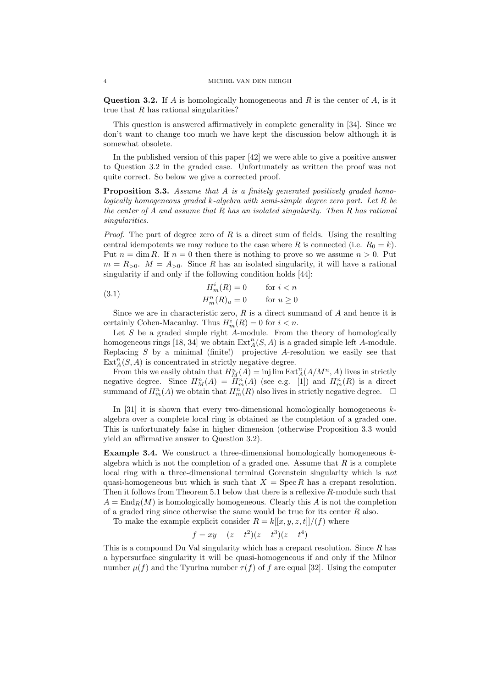**Question 3.2.** If A is homologically homogeneous and R is the center of A, is it true that  $R$  has rational singularities?

This question is answered affirmatively in complete generality in [34]. Since we don't want to change too much we have kept the discussion below although it is somewhat obsolete.

In the published version of this paper [42] we were able to give a positive answer to Question 3.2 in the graded case. Unfortunately as written the proof was not quite correct. So below we give a corrected proof.

Proposition 3.3. Assume that A is a finitely generated positively graded homologically homogeneous graded  $k$ -algebra with semi-simple degree zero part. Let  $R$  be the center of  $A$  and assume that  $R$  has an isolated singularity. Then  $R$  has rational singularities.

*Proof.* The part of degree zero of  $R$  is a direct sum of fields. Using the resulting central idempotents we may reduce to the case where R is connected (i.e.  $R_0 = k$ ). Put  $n = \dim R$ . If  $n = 0$  then there is nothing to prove so we assume  $n > 0$ . Put  $m = R_{>0}$ .  $M = A_{>0}$ . Since R has an isolated singularity, it will have a rational singularity if and only if the following condition holds [44]:

(3.1) 
$$
H_m^i(R) = 0 \qquad \text{for } i < n
$$

$$
H_m^n(R)_u = 0 \qquad \text{for } u \ge 0
$$

Since we are in characteristic zero,  $R$  is a direct summand of  $A$  and hence it is certainly Cohen-Macaulay. Thus  $H_m^i(R) = 0$  for  $i < n$ .

Let  $S$  be a graded simple right  $A$ -module. From the theory of homologically homogeneous rings [18, 34] we obtain  $\text{Ext}_{A}^{n}(S, A)$  is a graded simple left A-module. Replacing  $S$  by a minimal (finite!) projective  $A$ -resolution we easily see that  $\text{Ext}_{A}^{n}(S, A)$  is concentrated in strictly negative degree.

From this we easily obtain that  $H_M^n(A) = \text{inj}\lim \text{Ext}_A^n(A/M^n, A)$  lives in strictly negative degree. Since  $H_m^n(A) = H_m^n(A)$  (see e.g. [1]) and  $H_m^n(R)$  is a direct summand of  $H_m^n(A)$  we obtain that  $H_m^n(R)$  also lives in strictly negative degree.  $\Box$ 

In [31] it is shown that every two-dimensional homologically homogeneous  $k$ algebra over a complete local ring is obtained as the completion of a graded one. This is unfortunately false in higher dimension (otherwise Proposition 3.3 would yield an affirmative answer to Question 3.2).

**Example 3.4.** We construct a three-dimensional homologically homogeneous  $k$ algebra which is not the completion of a graded one. Assume that  $R$  is a complete local ring with a three-dimensional terminal Gorenstein singularity which is not quasi-homogeneous but which is such that  $X = \text{Spec } R$  has a crepant resolution. Then it follows from Theorem 5.1 below that there is a reflexive R-module such that  $A = \text{End}_{R}(M)$  is homologically homogeneous. Clearly this A is not the completion of a graded ring since otherwise the same would be true for its center  $R$  also.

To make the example explicit consider  $R = k[[x, y, z, t]]/(f)$  where

$$
f = xy - (z - t^2)(z - t^3)(z - t^4)
$$

This is a compound Du Val singularity which has a crepant resolution. Since  $R$  has a hypersurface singularity it will be quasi-homogeneous if and only if the Milnor number  $\mu(f)$  and the Tyurina number  $\tau(f)$  of f are equal [32]. Using the computer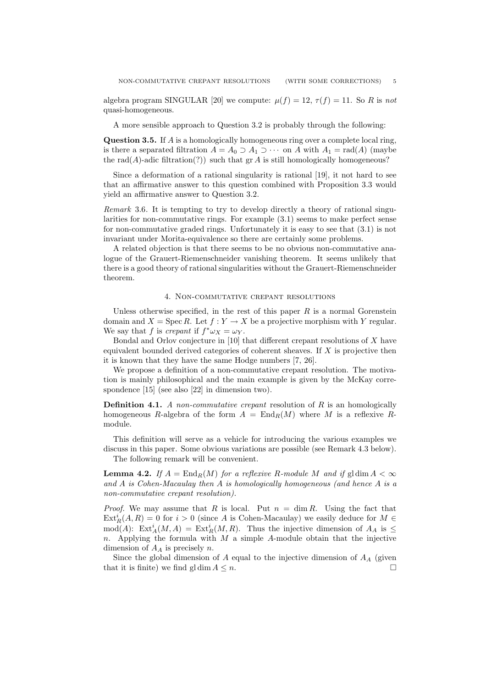algebra program SINGULAR [20] we compute:  $\mu(f) = 12$ ,  $\tau(f) = 11$ . So R is not quasi-homogeneous.

A more sensible approach to Question 3.2 is probably through the following:

**Question 3.5.** If  $\vec{A}$  is a homologically homogeneous ring over a complete local ring, is there a separated filtration  $A = A_0 \supset A_1 \supset \cdots$  on A with  $A_1 = \text{rad}(A)$  (maybe the rad( $A$ )-adic filtration(?)) such that gr  $A$  is still homologically homogeneous?

Since a deformation of a rational singularity is rational [19], it not hard to see that an affirmative answer to this question combined with Proposition 3.3 would yield an affirmative answer to Question 3.2.

Remark 3.6. It is tempting to try to develop directly a theory of rational singularities for non-commutative rings. For example (3.1) seems to make perfect sense for non-commutative graded rings. Unfortunately it is easy to see that (3.1) is not invariant under Morita-equivalence so there are certainly some problems.

A related objection is that there seems to be no obvious non-commutative analogue of the Grauert-Riemenschneider vanishing theorem. It seems unlikely that there is a good theory of rational singularities without the Grauert-Riemenschneider theorem.

#### 4. Non-commutative crepant resolutions

Unless otherwise specified, in the rest of this paper  $R$  is a normal Gorenstein domain and  $X = \operatorname{Spec} R$ . Let  $f : Y \to X$  be a projective morphism with Y regular. We say that f is crepant if  $f^*\omega_X = \omega_Y$ .

Bondal and Orlov conjecture in [10] that different crepant resolutions of X have equivalent bounded derived categories of coherent sheaves. If  $X$  is projective then it is known that they have the same Hodge numbers [7, 26].

We propose a definition of a non-commutative crepant resolution. The motivation is mainly philosophical and the main example is given by the McKay correspondence [15] (see also [22] in dimension two).

**Definition 4.1.** A non-commutative crepant resolution of R is an homologically homogeneous R-algebra of the form  $A = \text{End}_R(M)$  where M is a reflexive Rmodule.

This definition will serve as a vehicle for introducing the various examples we discuss in this paper. Some obvious variations are possible (see Remark 4.3 below).

The following remark will be convenient.

**Lemma 4.2.** If  $A = \text{End}_R(M)$  for a reflexive R-module M and if gldim  $A < \infty$ and  $A$  is Cohen-Macaulay then  $A$  is homologically homogeneous (and hence  $A$  is a non-commutative crepant resolution).

*Proof.* We may assume that R is local. Put  $n = \dim R$ . Using the fact that  $\text{Ext}_{R}^{i}(A, R) = 0$  for  $i > 0$  (since A is Cohen-Macaulay) we easily deduce for  $M \in$ mod(A):  $\text{Ext}_{A}^{i}(M, A) = \text{Ext}_{R}^{i}(M, R)$ . Thus the injective dimension of  $A_{A}$  is  $\leq$  $n.$  Applying the formula with  $M$  a simple  $A$ -module obtain that the injective dimension of  $A_A$  is precisely n.

Since the global dimension of  $A$  equal to the injective dimension of  $A_A$  (given that it is finite) we find gl dim  $A \leq n$ .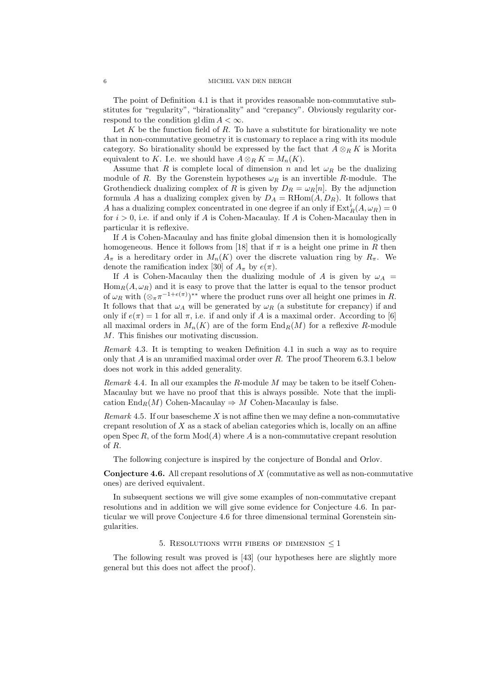The point of Definition 4.1 is that it provides reasonable non-commutative substitutes for "regularity", "birationality" and "crepancy". Obviously regularity correspond to the condition gl dim  $A < \infty$ .

Let  $K$  be the function field of  $R$ . To have a substitute for birationality we note that in non-commutative geometry it is customary to replace a ring with its module category. So birationality should be expressed by the fact that  $A \otimes_R K$  is Morita equivalent to K. I.e. we should have  $A \otimes_R K = M_n(K)$ .

Assume that R is complete local of dimension n and let  $\omega_R$  be the dualizing module of R. By the Gorenstein hypotheses  $\omega_R$  is an invertible R-module. The Grothendieck dualizing complex of R is given by  $D_R = \omega_R[n]$ . By the adjunction formula A has a dualizing complex given by  $D_A = \text{RHom}(A, D_R)$ . It follows that A has a dualizing complex concentrated in one degree if an only if  $\mathrm{Ext}^i_R(A,\omega_R)=0$ for  $i > 0$ , i.e. if and only if A is Cohen-Macaulay. If A is Cohen-Macaulay then in particular it is reflexive.

If A is Cohen-Macaulay and has finite global dimension then it is homologically homogeneous. Hence it follows from [18] that if  $\pi$  is a height one prime in R then  $A_{\pi}$  is a hereditary order in  $M_n(K)$  over the discrete valuation ring by  $R_{\pi}$ . We denote the ramification index [30] of  $A_{\pi}$  by  $e(\pi)$ .

If A is Cohen-Macaulay then the dualizing module of A is given by  $\omega_A$  $\text{Hom}_R(A, \omega_R)$  and it is easy to prove that the latter is equal to the tensor product of  $\omega_R$  with  $(\otimes_{\pi} \pi^{-1+e(\pi)})^{**}$  where the product runs over all height one primes in R. It follows that that  $\omega_A$  will be generated by  $\omega_R$  (a substitute for crepancy) if and only if  $e(\pi) = 1$  for all  $\pi$ , i.e. if and only if A is a maximal order. According to [6] all maximal orders in  $M_n(K)$  are of the form  $\text{End}_R(M)$  for a reflexive R-module M. This finishes our motivating discussion.

Remark 4.3. It is tempting to weaken Definition 4.1 in such a way as to require only that  $A$  is an unramified maximal order over  $R$ . The proof Theorem 6.3.1 below does not work in this added generality.

*Remark* 4.4. In all our examples the R-module M may be taken to be itself Cohen-Macaulay but we have no proof that this is always possible. Note that the implication End<sub>R</sub> $(M)$  Cohen-Macaulay  $\Rightarrow M$  Cohen-Macaulay is false.

Remark 4.5. If our bases cheme X is not affine then we may define a non-commutative crepant resolution of  $X$  as a stack of abelian categories which is, locally on an affine open Spec R, of the form  $Mod(A)$  where A is a non-commutative crepant resolution of R.

The following conjecture is inspired by the conjecture of Bondal and Orlov.

**Conjecture 4.6.** All crepant resolutions of  $X$  (commutative as well as non-commutative ones) are derived equivalent.

In subsequent sections we will give some examples of non-commutative crepant resolutions and in addition we will give some evidence for Conjecture 4.6. In particular we will prove Conjecture 4.6 for three dimensional terminal Gorenstein singularities.

5. RESOLUTIONS WITH FIBERS OF DIMENSION  $\leq 1$ 

The following result was proved is [43] (our hypotheses here are slightly more general but this does not affect the proof).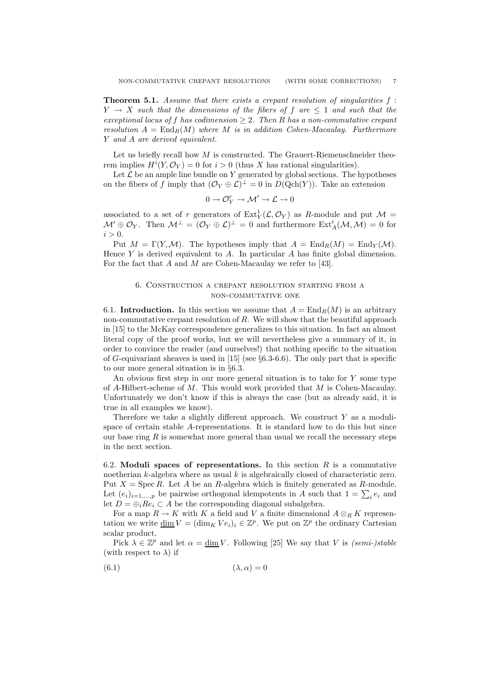**Theorem 5.1.** Assume that there exists a crepant resolution of singularities  $f$ :  $Y \rightarrow X$  such that the dimensions of the fibers of f are  $\leq 1$  and such that the exceptional locus of f has codimension  $\geq 2$ . Then R has a non-commutative crepant resolution  $A = \text{End}_R(M)$  where M is in addition Cohen-Macaulay. Furthermore Y and A are derived equivalent.

Let us briefly recall how  $M$  is constructed. The Grauert-Riemenschneider theorem implies  $H^{i}(Y, \mathcal{O}_{Y}) = 0$  for  $i > 0$  (thus X has rational singularities).

Let  $\mathcal L$  be an ample line bundle on Y generated by global sections. The hypotheses on the fibers of f imply that  $(\mathcal{O}_Y \oplus \mathcal{L})^{\perp} = 0$  in  $D(\text{Qch}(Y))$ . Take an extension

$$
0\to \mathcal{O}_Y^r\to \mathcal{M}'\to \mathcal{L}\to 0
$$

associated to a set of r generators of  $\text{Ext}^1_Y(\mathcal{L}, \mathcal{O}_Y)$  as R-module and put  $\mathcal{M} =$  $\mathcal{M}' \oplus \mathcal{O}_Y$ . Then  $\mathcal{M}^{\perp} = (\mathcal{O}_Y \oplus \mathcal{L})^{\perp} = 0$  and furthermore  $\text{Ext}_{A}^{i}(\mathcal{M}, \mathcal{M}) = 0$  for  $i > 0$ .

Put  $M = \Gamma(Y, \mathcal{M})$ . The hypotheses imply that  $A = \text{End}_{R}(M) = \text{End}_{Y}(M)$ . Hence Y is derived equivalent to  $A$ . In particular  $A$  has finite global dimension. For the fact that  $A$  and  $M$  are Cohen-Macaulay we refer to [43].

# 6. Construction a crepant resolution starting from a non-commutative one

6.1. Introduction. In this section we assume that  $A = \text{End}_{R}(M)$  is an arbitrary non-commutative crepant resolution of  $R$ . We will show that the beautiful approach in [15] to the McKay correspondence generalizes to this situation. In fact an almost literal copy of the proof works, but we will nevertheless give a summary of it, in order to convince the reader (and ourselves!) that nothing specific to the situation of G-equivariant sheaves is used in [15] (see  $\S 6.3-6.6$ ). The only part that is specific to our more general situation is in §6.3.

An obvious first step in our more general situation is to take for Y some type of A-Hilbert-scheme of M. This would work provided that M is Cohen-Macaulay. Unfortunately we don't know if this is always the case (but as already said, it is true in all examples we know).

Therefore we take a slightly different approach. We construct  $Y$  as a modulispace of certain stable A-representations. It is standard how to do this but since our base ring  $R$  is somewhat more general than usual we recall the necessary steps in the next section.

6.2. Moduli spaces of representations. In this section  $R$  is a commutative noetherian  $k$ -algebra where as usual  $k$  is algebraically closed of characteristic zero. Put  $X = \text{Spec } R$ . Let A be an R-algebra which is finitely generated as R-module. Let  $(e_i)_{i=1,\dots,p}$  be pairwise orthogonal idempotents in A such that  $1 = \sum_i e_i$  and let  $D = \bigoplus_i Re_i \subset A$  be the corresponding diagonal subalgebra.

For a map  $R \to K$  with K a field and V a finite dimensional  $A \otimes_R K$  representation we write  $\underline{\dim}_V V = (\dim_K V e_i)_i \in \mathbb{Z}^p$ . We put on  $\mathbb{Z}^p$  the ordinary Cartesian scalar product.

Pick  $\lambda \in \mathbb{Z}^p$  and let  $\alpha = \underline{\dim} V$ . Following [25] We say that V is *(semi-)stable* (with respect to  $\lambda$ ) if

$$
(6.1)\t\t\t\t(\lambda,\alpha) = 0
$$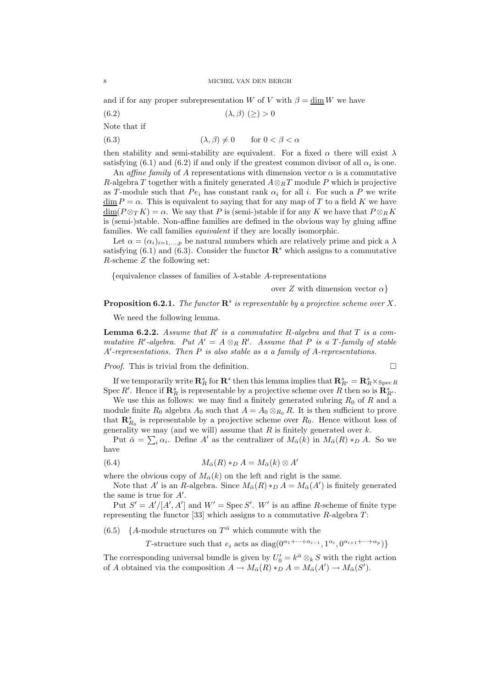and if for any proper subrepresentation W of V with  $\beta = \dim W$  we have

(6.2)  $(\lambda, \beta) (>0$ 

Note that if

(6.3)  $(\lambda, \beta) \neq 0$  for  $0 < \beta < \alpha$ 

then stability and semi-stability are equivalent. For a fixed  $\alpha$  there will exist  $\lambda$ satisfying (6.1) and (6.2) if and only if the greatest common divisor of all  $\alpha_i$  is one.

An affine family of A representations with dimension vector  $\alpha$  is a commutative R-algebra T together with a finitely generated  $A \otimes_R T$  module P which is projective as T-module such that  $Pe_i$  has constant rank  $\alpha_i$  for all i. For such a P we write  $\dim P = \alpha$ . This is equivalent to saying that for any map of T to a field K we have  $\underline{\dim}(P \otimes_T K) = \alpha$ . We say that P is (semi-)stable if for any K we have that  $P \otimes_R K$ is (semi-)stable. Non-affine families are defined in the obvious way by gluing affine families. We call families equivalent if they are locally isomorphic.

Let  $\alpha = (\alpha_i)_{i=1,\dots,p}$  be natural numbers which are relatively prime and pick a  $\lambda$ satisfying (6.1) and (6.3). Consider the functor  $\mathbb{R}^s$  which assigns to a commutative R-scheme Z the following set:

{equivalence classes of families of  $\lambda$ -stable A-representations

over Z with dimension vector  $\alpha$ 

**Proposition 6.2.1.** The functor  $\mathbb{R}^s$  is representable by a projective scheme over X.

We need the following lemma.

**Lemma 6.2.2.** Assume that  $R'$  is a commutative R-algebra and that  $T$  is a commutative R'-algebra. Put  $A' = A \otimes_R R'$ . Assume that P is a T-family of stable A′ -representations. Then P is also stable as a a family of A-representations.

*Proof.* This is trivial from the definition.  $\Box$ 

If we temporarily write  $\mathbf{R}_R^s$  for  $\mathbf{R}^s$  then this lemma implies that  $\mathbf{R}_{R'}^s = \mathbf{R}_R^s \times_{\text{Spec } R}$ Spec R'. Hence if  $\mathbf{R}_R^s$  is representable by a projective scheme over R then so is  $\mathbf{R}_R^s$ .

We use this as follows: we may find a finitely generated subring  $R_0$  of R and a module finite  $R_0$  algebra  $A_0$  such that  $A = A_0 \otimes_{R_0} R$ . It is then sufficient to prove that  $\mathbf{R}_{R_0}^s$  is representable by a projective scheme over  $R_0$ . Hence without loss of generality we may (and we will) assume that  $R$  is finitely generated over  $k$ .

Put  $\bar{\alpha} = \sum_i \alpha_i$ . Define A' as the centralizer of  $M_{\bar{\alpha}}(k)$  in  $M_{\bar{\alpha}}(R) *_{D} A$ . So we have

(6.4) 
$$
M_{\bar{\alpha}}(R) *_{D} A = M_{\bar{\alpha}}(k) \otimes A'
$$

where the obvious copy of  $M_{\alpha}(k)$  on the left and right is the same.

Note that A' is an R-algebra. Since  $M_{\bar{\alpha}}(R) *_{D} A = M_{\bar{\alpha}}(A')$  is finitely generated the same is true for  $A'$ .

Put  $S' = A'/[A', A']$  and  $W' = \text{Spec } S'$ . W' is an affine R-scheme of finite type representing the functor [33] which assigns to a commutative  $R$ -algebra  $T$ :

(6.5) { $A$ -module structures on  $T^{\bar{\alpha}}$  which commute with the

T-structure such that  $e_i$  acts as  $diag(0^{\alpha_1+\cdots+\alpha_{i-1}}, 1^{\alpha_i}, 0^{\alpha_{i+1}+\cdots+\alpha_p})\}$ 

The corresponding universal bundle is given by  $U'_0 = k^{\bar{\alpha}} \otimes_k S$  with the right action of A obtained via the composition  $A \to M_{\bar{\alpha}}(R) *_{D} A = M_{\bar{\alpha}}(A') \to M_{\bar{\alpha}}(S')$ .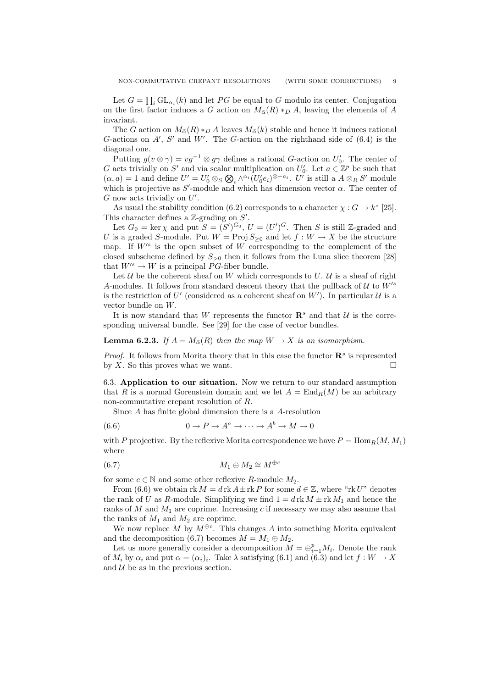Let  $G = \prod_i GL_{\alpha_i}(k)$  and let PG be equal to G modulo its center. Conjugation on the first factor induces a G action on  $M_{\alpha}(R) *_{D} A$ , leaving the elements of A invariant.

The G action on  $M_{\bar{\alpha}}(R) *_{D} A$  leaves  $M_{\bar{\alpha}}(k)$  stable and hence it induces rational G-actions on  $A'$ ,  $S'$  and  $W'$ . The G-action on the righthand side of  $(6.4)$  is the diagonal one.

Putting  $g(v \otimes \gamma) = v g^{-1} \otimes g \gamma$  defines a rational G-action on  $U'_0$ . The center of G acts trivially on S' and via scalar multiplication on  $U'_0$ . Let  $a \in \mathbb{Z}^p$  be such that  $(\alpha, a) = 1$  and define  $U' = U'_0 \otimes_S \bigotimes_i \wedge^{\alpha_i} (U'_0 e_i)^{\otimes -a_i}$ .  $U'$  is still a  $A \otimes_R S'$  module which is projective as  $S'$ -module and which has dimension vector  $\alpha$ . The center of  $G$  now acts trivially on  $U'$ .

As usual the stability condition (6.2) corresponds to a character  $\chi : G \to k^*$  [25]. This character defines a  $\mathbb{Z}$ -grading on  $S'$ .

Let  $G_0 = \ker \chi$  and put  $S = (S')^{G_0}$ ,  $U = (U')^{G}$ . Then S is still Z-graded and U is a graded S-module. Put  $W = \text{Proj } S_{\geq 0}$  and let  $f : W \to X$  be the structure map. If  $W'^s$  is the open subset of W corresponding to the complement of the closed subscheme defined by  $S_{>0}$  then it follows from the Luna slice theorem [28] that  $W'^s \to W$  is a principal PG-fiber bundle.

Let  $U$  be the coherent sheaf on W which corresponds to  $U$ .  $U$  is a sheaf of right A-modules. It follows from standard descent theory that the pullback of  $\mathcal{U}$  to  $W^{\prime s}$ is the restriction of U' (considered as a coherent sheaf on  $W'$ ). In particular U is a vector bundle on W.

It is now standard that W represents the functor  $\mathbb{R}^s$  and that U is the corresponding universal bundle. See [29] for the case of vector bundles.

# **Lemma 6.2.3.** If  $A = M_{\overline{\alpha}}(R)$  then the map  $W \to X$  is an isomorphism.

*Proof.* It follows from Morita theory that in this case the functor  $\mathbb{R}^s$  is represented by X. So this proves what we want.  $\square$ 

6.3. Application to our situation. Now we return to our standard assumption that R is a normal Gorenstein domain and we let  $A = \text{End}_R(M)$  be an arbitrary non-commutative crepant resolution of R.

Since A has finite global dimension there is a A-resolution

(6.6) 
$$
0 \to P \to A^a \to \cdots \to A^b \to M \to 0
$$

with P projective. By the reflexive Morita correspondence we have  $P = \text{Hom}_{R}(M, M_1)$ where

$$
(6.7) \t\t\t M_1 \oplus M_2 \cong M^{\oplus c}
$$

for some  $c \in \mathbb{N}$  and some other reflexive R-module  $M_2$ .

From (6.6) we obtain  $rk M = d rk A \pm rk P$  for some  $d \in \mathbb{Z}$ , where "rk U" denotes the rank of U as R-module. Simplifying we find  $1 = d \text{rk } M \pm \text{rk } M_1$  and hence the ranks of  $M$  and  $M_1$  are coprime. Increasing c if necessary we may also assume that the ranks of  $M_1$  and  $M_2$  are coprime.

We now replace M by  $M^{\oplus c}$ . This changes A into something Morita equivalent and the decomposition (6.7) becomes  $M = M_1 \oplus M_2$ .

Let us more generally consider a decomposition  $M = \bigoplus_{i=1}^p M_i$ . Denote the rank of  $M_i$  by  $\alpha_i$  and put  $\alpha = (\alpha_i)_i$ . Take  $\lambda$  satisfying (6.1) and (6.3) and let  $f: W \to X$ and  $U$  be as in the previous section.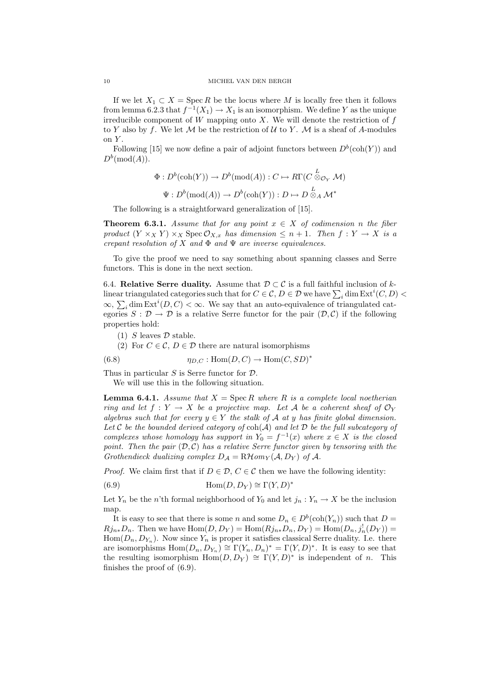If we let  $X_1 \subset X = \operatorname{Spec} R$  be the locus where M is locally free then it follows from lemma 6.2.3 that  $f^{-1}(X_1) \to X_1$  is an isomorphism. We define Y as the unique irreducible component of  $W$  mapping onto  $X$ . We will denote the restriction of  $f$ to Y also by f. We let M be the restriction of U to Y. M is a sheaf of A-modules on Y.

Following [15] we now define a pair of adjoint functors between  $D^b(\text{coh}(Y))$  and  $D^b(\text{mod}(A)).$ 

$$
\Phi: D^b(\text{coh}(Y)) \to D^b(\text{mod}(A)): C \mapsto R\Gamma(C \overset{L}{\otimes}_{\mathcal{O}_Y} \mathcal{M})
$$

$$
\Psi: D^b(\text{mod}(A)) \to D^b(\text{coh}(Y)): D \mapsto D \overset{L}{\otimes}_A \mathcal{M}^*
$$

The following is a straightforward generalization of [15].

**Theorem 6.3.1.** Assume that for any point  $x \in X$  of codimension n the fiber product  $(Y \times_X Y) \times_X \text{Spec } \mathcal{O}_{X,x}$  has dimension  $\leq n+1$ . Then  $f: Y \to X$  is a crepant resolution of X and  $\Phi$  and  $\Psi$  are inverse equivalences.

To give the proof we need to say something about spanning classes and Serre functors. This is done in the next section.

6.4. Relative Serre duality. Assume that  $D \subset C$  is a full faithful inclusion of klinear triangulated categories such that for  $C \in \mathcal{C}$ ,  $D \in \mathcal{D}$  we have  $\sum_i \dim \text{Ext}^i(C, D)$  $\infty$ ,  $\sum_i$  dim Ext<sup>i</sup>(*D*, *C*) <  $\infty$ . We say that an auto-equivalence of triangulated categories  $S : \mathcal{D} \to \mathcal{D}$  is a relative Serre functor for the pair  $(\mathcal{D}, \mathcal{C})$  if the following properties hold:

(1) S leaves  $\mathcal D$  stable.

(2) For  $C \in \mathcal{C}$ ,  $D \in \mathcal{D}$  there are natural isomorphisms

(6.8) 
$$
\eta_{D,C}: \text{Hom}(D,C) \to \text{Hom}(C,SD)^*
$$

Thus in particular  $S$  is Serre functor for  $D$ .

We will use this in the following situation.

**Lemma 6.4.1.** Assume that  $X = \text{Spec } R$  where R is a complete local noetherian ring and let  $f: Y \to X$  be a projective map. Let A be a coherent sheaf of  $\mathcal{O}_Y$ algebras such that for every  $y \in Y$  the stalk of A at y has finite global dimension. Let  $C$  be the bounded derived category of  $\text{coh}(\mathcal{A})$  and let  $D$  be the full subcategory of complexes whose homology has support in  $Y_0 = f^{-1}(x)$  where  $x \in X$  is the closed point. Then the pair  $(D, C)$  has a relative Serre functor given by tensoring with the Grothendieck dualizing complex  $D_A = R\mathcal{H}om_Y(\mathcal{A}, D_Y)$  of  $\mathcal{A}$ .

*Proof.* We claim first that if  $D \in \mathcal{D}$ ,  $C \in \mathcal{C}$  then we have the following identity:

(6.9) 
$$
\text{Hom}(D, D_Y) \cong \Gamma(Y, D)^*
$$

Let  $Y_n$  be the n'th formal neighborhood of  $Y_0$  and let  $j_n : Y_n \to X$  be the inclusion map.

It is easy to see that there is some n and some  $D_n \in D^b(\text{coh}(Y_n))$  such that  $D =$  $Rj_{n*}D_n$ . Then we have  $\text{Hom}(D, D_Y) = \text{Hom}(Rj_{n*}D_n, D_Y) = \text{Hom}(D_n, j_n^!(D_Y)) =$  $Hom(D_n, D_{Y_n})$ . Now since  $Y_n$  is proper it satisfies classical Serre duality. I.e. there are isomorphisms  $\text{Hom}(D_n, D_{Y_n}) \cong \Gamma(Y_n, D_n)^* = \Gamma(Y_n, D)^*$ . It is easy to see that the resulting isomorphism  $Hom(D, D_Y) \cong \Gamma(Y, D)^*$  is independent of n. This finishes the proof of (6.9).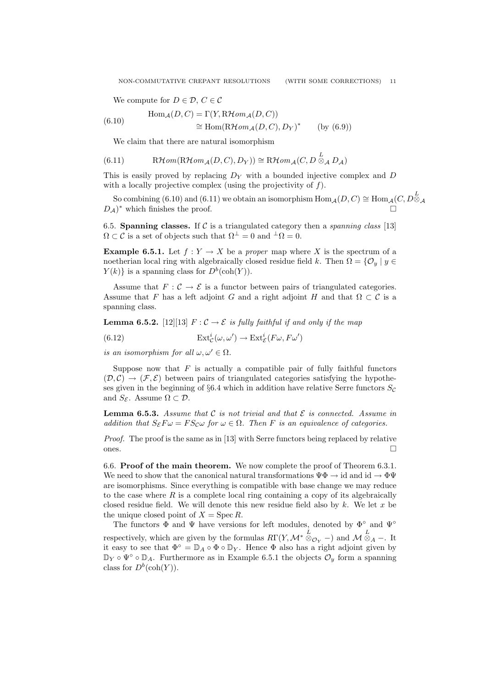We compute for  $D \in \mathcal{D}$ ,  $C \in \mathcal{C}$ 

(6.10) 
$$
\text{Hom}_{\mathcal{A}}(D, C) = \Gamma(Y, \text{R}\mathcal{H}om_{\mathcal{A}}(D, C))
$$

$$
\cong \text{Hom}(\text{R}\mathcal{H}om_{\mathcal{A}}(D, C), D_Y)^* \qquad \text{(by (6.9))}
$$

We claim that there are natural isomorphism

(6.11) 
$$
R\mathcal{H}om(R\mathcal{H}om_{\mathcal{A}}(D, C), D_Y)) \cong R\mathcal{H}om_{\mathcal{A}}(C, D \overset{L}{\otimes}_{\mathcal{A}} D_{\mathcal{A}})
$$

This is easily proved by replacing  $D<sub>Y</sub>$  with a bounded injective complex and D with a locally projective complex (using the projectivity of  $f$ ).

So combining (6.10) and (6.11) we obtain an isomorphism  $\mathrm{Hom}_{\mathcal{A}}(D,C) \cong \mathrm{Hom}_{\mathcal{A}}(C, D_{\text{A}}^{\text{L}}$  $D_A$ <sup>\*</sup> which finishes the proof.  $^*$  which finishes the proof.  $\hfill \square$ 

6.5. Spanning classes. If C is a triangulated category then a *spanning class* [13]  $\Omega \subset \mathcal{C}$  is a set of objects such that  $\Omega^{\perp} = 0$  and  $^{\perp}\Omega = 0$ .

**Example 6.5.1.** Let  $f: Y \to X$  be a proper map where X is the spectrum of a noetherian local ring with algebraically closed residue field k. Then  $\Omega = \{O_u | u \in$  $Y(k)$  is a spanning class for  $D^b(\text{coh}(Y)).$ 

Assume that  $F: \mathcal{C} \to \mathcal{E}$  is a functor between pairs of triangulated categories. Assume that F has a left adjoint G and a right adjoint H and that  $\Omega \subset \mathcal{C}$  is a spanning class.

**Lemma 6.5.2.** [12][13]  $F: \mathcal{C} \to \mathcal{E}$  is fully faithful if and only if the map

(6.12) 
$$
\operatorname{Ext}^i_{\mathcal{C}}(\omega, \omega') \to \operatorname{Ext}^i_{\mathcal{E}}(F\omega, F\omega')
$$

is an isomorphism for all  $\omega, \omega' \in \Omega$ .

Suppose now that  $F$  is actually a compatible pair of fully faithful functors  $(\mathcal{D}, \mathcal{C}) \to (\mathcal{F}, \mathcal{E})$  between pairs of triangulated categories satisfying the hypotheses given in the beginning of §6.4 which in addition have relative Serre functors  $S_{\mathcal{C}}$ and  $S_{\mathcal{E}}$ . Assume  $\Omega \subset \mathcal{D}$ .

**Lemma 6.5.3.** Assume that  $C$  is not trivial and that  $\mathcal E$  is connected. Assume in addition that  $S_{\mathcal{E}}F\omega = FS_{\mathcal{C}}\omega$  for  $\omega \in \Omega$ . Then F is an equivalence of categories.

Proof. The proof is the same as in [13] with Serre functors being replaced by relative ones.  $\Box$ 

6.6. Proof of the main theorem. We now complete the proof of Theorem 6.3.1. We need to show that the canonical natural transformations  $\Psi \Phi \to id$  and  $id \to \Phi \Psi$ are isomorphisms. Since everything is compatible with base change we may reduce to the case where  $R$  is a complete local ring containing a copy of its algebraically closed residue field. We will denote this new residue field also by  $k$ . We let  $x$  be the unique closed point of  $X = \operatorname{Spec} R$ .

The functors  $\Phi$  and  $\Psi$  have versions for left modules, denoted by  $\Phi^{\circ}$  and  $\Psi^{\circ}$ respectively, which are given by the formulas  $R\Gamma(Y, \mathcal{M}^* \otimes_{\mathcal{O}_Y}^{\mathcal{L}}-)$  and  $\mathcal{M} \otimes_A^{\mathcal{L}}$  -. It it easy to see that  $\Phi^{\circ} = \mathbb{D}_A \circ \Phi \circ \mathbb{D}_Y$ . Hence  $\Phi$  also has a right adjoint given by  $\mathbb{D}_Y \circ \Psi^{\circ} \circ \mathbb{D}_A$ . Furthermore as in Example 6.5.1 the objects  $\mathcal{O}_y$  form a spanning class for  $D^b(\text{coh}(Y))$ .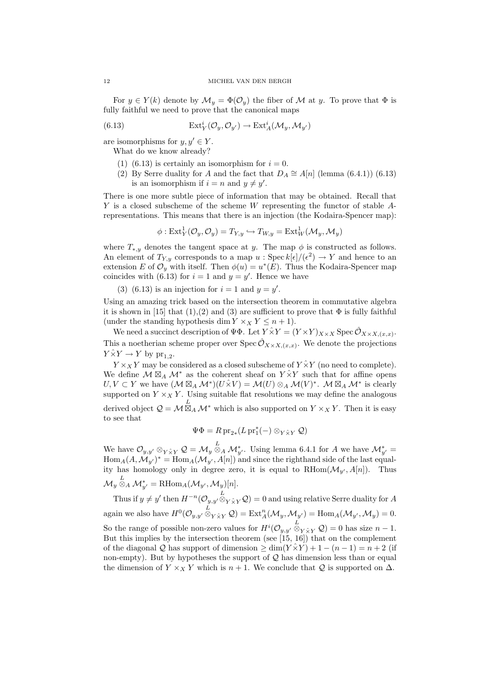For  $y \in Y(k)$  denote by  $\mathcal{M}_y = \Phi(\mathcal{O}_y)$  the fiber of  $\mathcal M$  at y. To prove that  $\Phi$  is fully faithful we need to prove that the canonical maps

(6.13) 
$$
\operatorname{Ext}^i_Y(\mathcal{O}_y, \mathcal{O}_{y'}) \to \operatorname{Ext}^i_A(\mathcal{M}_y, \mathcal{M}_{y'})
$$

are isomorphisms for  $y, y' \in Y$ .

What do we know already?

- (1) (6.13) is certainly an isomorphism for  $i = 0$ .
- (2) By Serre duality for A and the fact that  $D_A \cong A[n]$  (lemma (6.4.1)) (6.13) is an isomorphism if  $i = n$  and  $y \neq y'$ .

There is one more subtle piece of information that may be obtained. Recall that  $Y$  is a closed subscheme of the scheme  $W$  representing the functor of stable  $A$ representations. This means that there is an injection (the Kodaira-Spencer map):

$$
\phi: \text{Ext}^1_Y(\mathcal{O}_y, \mathcal{O}_y) = T_{Y,y} \hookrightarrow T_{W,y} = \text{Ext}^1_W(\mathcal{M}_y, \mathcal{M}_y)
$$

where  $T_{*,y}$  denotes the tangent space at y. The map  $\phi$  is constructed as follows. An element of  $T_{Y,y}$  corresponds to a map  $u : \text{Spec } k[\epsilon]/(\epsilon^2) \to Y$  and hence to an extension E of  $\mathcal{O}_y$  with itself. Then  $\phi(u) = u^*(E)$ . Thus the Kodaira-Spencer map coincides with (6.13) for  $i = 1$  and  $y = y'$ . Hence we have

(3) (6.13) is an injection for  $i = 1$  and  $y = y'$ .

Using an amazing trick based on the intersection theorem in commutative algebra it is shown in [15] that (1),(2) and (3) are sufficient to prove that  $\Phi$  is fully faithful (under the standing hypothesis dim  $Y \times_X Y \leq n + 1$ ).

We need a succinct description of  $\Psi\Phi$ . Let  $Y \hat{\times} Y = (Y \times Y)_{X \times X}$  Spec  $\hat{\mathcal{O}}_{X \times X, (x,x)}$ . This a noetherian scheme proper over Spec  $\hat{\mathcal{O}}_{X \times X,(x,x)}$ . We denote the projections  $Y \hat{\times} Y \to Y$  by  $\text{pr}_{1,2}$ .

 $Y \times_X Y$  may be considered as a closed subscheme of  $Y \times Y$  (no need to complete). We define  $\mathcal{M} \boxtimes_A \mathcal{M}^*$  as the coherent sheaf on  $\hat{Y} \times \hat{Y}$  such that for affine opens  $U, V \subset Y$  we have  $(\mathcal{M} \boxtimes_A \mathcal{M}^*)(U \hat{\times} V) = \mathcal{M}(U) \otimes_A \mathcal{M}(V)^*$ .  $\mathcal{M} \boxtimes_A \mathcal{M}^*$  is clearly supported on  $Y \times_X Y$ . Using suitable flat resolutions we may define the analogous derived object  $\mathcal{Q} = \mathcal{M} \boxtimes_A \mathcal{M}^*$  which is also supported on  $Y \times_X Y$ . Then it is easy to see that

$$
\Psi\Phi = R \operatorname{pr}_{2*}(L \operatorname{pr}_1^*(-) \otimes_{Y \hat{\times} Y} \mathcal{Q})
$$

We have  $\mathcal{O}_{y,y'} \otimes_{Y \hat{\times} Y} \mathcal{Q} = \mathcal{M}_y \overset{L}{\otimes}_A \mathcal{M}_{y'}^*$ . Using lemma 6.4.1 for A we have  $\mathcal{M}_{y'}^* =$  $\text{Hom}_A(A, \mathcal{M}_{y'})^* = \text{Hom}_A(\mathcal{M}_{y'}, A[n])$  and since the righthand side of the last equality has homology only in degree zero, it is equal to  $RHom(\mathcal{M}_{n'}, A[n])$ . Thus  $\mathcal{M}_y\overset{L}{\otimes}_A\mathcal{M}_{y'}^*=\mathrm{RHom}_A(\mathcal{M}_{y'},\mathcal{M}_y)[n].$ 

Thus if  $y \neq y'$  then  $H^{-n}(\mathcal{O}_{y,y'} \overset{L}{\otimes}_Y \hat{\times}_Y \mathcal{Q}) = 0$  and using relative Serre duality for A again we also have  $H^0(\mathcal{O}_{y,y'}\overset{L}{\otimes}_{Y\overset{\sim}{\times}Y}\mathcal{Q})=\mathrm{Ext}^n_A(\mathcal{M}_y,\mathcal{M}_{y'})=\mathrm{Hom}_A(\mathcal{M}_{y'},\mathcal{M}_y)=0.$ So the range of possible non-zero values for  $H^{i}(\mathcal{O}_{y,y}, \overset{L}{\otimes}_{Y \overset{\sim}{X} Y} \mathcal{Q}) = 0$  has size  $n-1$ . But this implies by the intersection theorem (see [15, 16]) that on the complement of the diagonal Q has support of dimension  $\geq \dim(Y \times Y) + 1 - (n-1) = n+2$  (if non-empty). But by hypotheses the support of  $Q$  has dimension less than or equal the dimension of  $Y \times_X Y$  which is  $n + 1$ . We conclude that Q is supported on  $\Delta$ .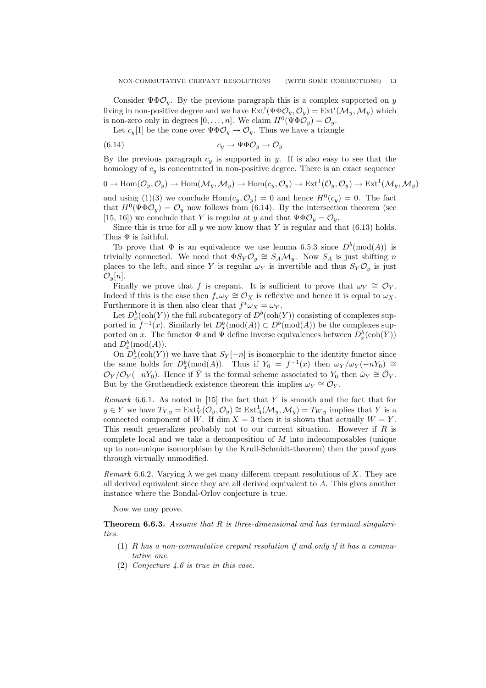Let  $c_y[1]$  be the cone over  $\Psi \Phi \mathcal{O}_y \to \mathcal{O}_y$ . Thus we have a triangle

$$
(6.14) \t\t c_y \to \Psi \Phi \mathcal{O}_y \to \mathcal{O}_y
$$

By the previous paragraph  $c_y$  is supported in y. If is also easy to see that the homology of  $c_y$  is concentrated in non-positive degree. There is an exact sequence

$$
0\to\operatorname{Hom}(\mathcal{O}_y,\mathcal{O}_y)\to\operatorname{Hom}(\mathcal{M}_y,\mathcal{M}_y)\to\operatorname{Hom}(c_y,\mathcal{O}_y)\to\operatorname{Ext}^1(\mathcal{O}_y,\mathcal{O}_y)\to\operatorname{Ext}^1(\mathcal{M}_y,\mathcal{M}_y)
$$

and using (1)(3) we conclude  $Hom(c_y, \mathcal{O}_y) = 0$  and hence  $H^0(c_y) = 0$ . The fact that  $H^0(\Psi \Phi \mathcal{O}_y) = \mathcal{O}_y$  now follows from (6.14). By the intersection theorem (see [15, 16]) we conclude that Y is regular at y and that  $\Psi \Phi \mathcal{O}_y = \mathcal{O}_y$ .

Since this is true for all  $y$  we now know that  $Y$  is regular and that  $(6.13)$  holds. Thus  $\Phi$  is faithful.

To prove that  $\Phi$  is an equivalence we use lemma 6.5.3 since  $D^b(\text{mod}(A))$  is trivially connected. We need that  $\Phi S_Y \mathcal{O}_y \cong S_A \mathcal{M}_y$ . Now  $S_A$  is just shifting n places to the left, and since Y is regular  $\omega_Y$  is invertible and thus  $S_Y \mathcal{O}_y$  is just  $\mathcal{O}_y[n]$ .

Finally we prove that f is crepant. It is sufficient to prove that  $\omega_Y \cong \mathcal{O}_Y$ . Indeed if this is the case then  $f_*\omega_Y \cong \mathcal{O}_X$  is reflexive and hence it is equal to  $\omega_X$ . Furthermore it is then also clear that  $f^*\omega_X = \omega_Y$ .

Let  $D_x^b(\text{coh}(Y))$  the full subcategory of  $D^b(\text{coh}(Y))$  consisting of complexes supported in  $f^{-1}(x)$ . Similarly let  $D_x^b(\text{mod}(A)) \subset D^b(\text{mod}(A))$  be the complexes supported on x. The functor  $\Phi$  and  $\Psi$  define inverse equivalences between  $D_x^b(\text{coh}(Y))$ and  $D_x^b(\text{mod}(A)).$ 

On  $D_x^b(\text{coh}(Y))$  we have that  $S_Y[-n]$  is isomorphic to the identity functor since the same holds for  $D_x^b(\text{mod}(A))$ . Thus if  $Y_0 = f^{-1}(x)$  then  $\omega_Y/\omega_Y(-nY_0) \cong$  $\mathcal{O}_Y/\mathcal{O}_Y(-nY_0)$ . Hence if  $\hat{Y}$  is the formal scheme associated to  $Y_0$  then  $\hat{\omega}_Y \cong \hat{\mathcal{O}}_Y$ . But by the Grothendieck existence theorem this implies  $\omega_Y \cong \mathcal{O}_Y$ .

Remark 6.6.1. As noted in  $[15]$  the fact that Y is smooth and the fact that for  $y \in Y$  we have  $T_{Y,y} = \text{Ext}^1_Y(\mathcal{O}_y, \mathcal{O}_y) \cong \text{Ext}^1_A(\mathcal{M}_y, \mathcal{M}_y) = T_{W,y}$  implies that Y is a connected component of W. If dim  $X = 3$  then it is shown that actually  $W = Y$ . This result generalizes probably not to our current situation. However if  $R$  is complete local and we take a decomposition of  $M$  into indecomposables (unique up to non-unique isomorphism by the Krull-Schmidt-theorem) then the proof goes through virtually unmodified.

Remark 6.6.2. Varying  $\lambda$  we get many different crepant resolutions of X. They are all derived equivalent since they are all derived equivalent to A. This gives another instance where the Bondal-Orlov conjecture is true.

Now we may prove.

**Theorem 6.6.3.** Assume that  $R$  is three-dimensional and has terminal singularities.

- (1)  $R$  has a non-commutative crepant resolution if and only if it has a commutative one.
- (2) Conjecture 4.6 is true in this case.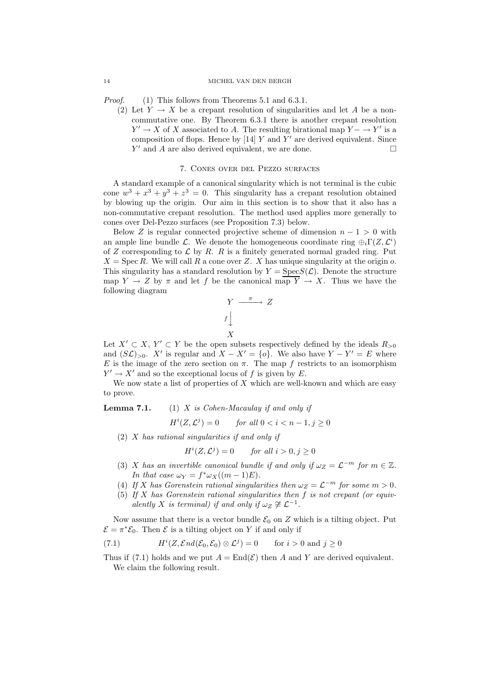### 14 MICHEL VAN DEN BERGH

*Proof.* (1) This follows from Theorems 5.1 and 6.3.1.

(2) Let  $Y \to X$  be a crepant resolution of singularities and let A be a noncommutative one. By Theorem 6.3.1 there is another crepant resolution  $Y' \to X$  of X associated to A. The resulting birational map  $Y - \to Y'$  is a composition of flops. Hence by  $[14]$  Y and Y' are derived equivalent. Since  $Y'$  and A are also derived equivalent, we are done.

## 7. Cones over del Pezzo surfaces

A standard example of a canonical singularity which is not terminal is the cubic cone  $w^3 + x^3 + y^3 + z^3 = 0$ . This singularity has a crepant resolution obtained by blowing up the origin. Our aim in this section is to show that it also has a non-commutative crepant resolution. The method used applies more generally to cones over Del-Pezzo surfaces (see Proposition 7.3) below.

Below Z is regular connected projective scheme of dimension  $n - 1 > 0$  with an ample line bundle L. We denote the homogeneous coordinate ring  $\bigoplus_i \Gamma(Z, \mathcal{L}^i)$ of Z corresponding to  $\mathcal L$  by R. R is a finitely generated normal graded ring. Put  $X = \text{Spec } R$ . We will call R a cone over Z. X has unique singularity at the origin o. This singularity has a standard resolution by  $Y = \text{Spec} S(\mathcal{L})$ . Denote the structure map  $Y \to Z$  by  $\pi$  and let f be the canonical map  $\overline{Y} \to X$ . Thus we have the following diagram

$$
\begin{array}{ccc}\nY & \xrightarrow{\pi} & Z \\
f & & \\
X & & \\
X & & \n\end{array}
$$

Let  $X' \subset X$ ,  $Y' \subset Y$  be the open subsets respectively defined by the ideals  $R_{>0}$ and  $(S\mathcal{L})_{>0}$ . X' is regular and  $X - X' = \{o\}$ . We also have  $Y - Y' = E$  where E is the image of the zero section on  $\pi$ . The map f restricts to an isomorphism  $Y' \to X'$  and so the exceptional locus of f is given by E.

We now state a list of properties of  $X$  which are well-known and which are easy to prove.

**Lemma 7.1.** (1) X is Cohen-Macaulay if and only if

$$
H^i(Z, \mathcal{L}^j) = 0 \qquad \text{for all } 0 < i < n - 1, j \ge 0
$$

(2) X has rational singularities if and only if

$$
H^i(Z, \mathcal{L}^j) = 0 \qquad \text{for all } i > 0, j \ge 0
$$

- (3) X has an invertible canonical bundle if and only if  $\omega_Z = \mathcal{L}^{-m}$  for  $m \in \mathbb{Z}$ . In that case  $\omega_Y = f^* \omega_X((m-1)E)$ .
- (4) If X has Gorenstein rational singularities then  $\omega_Z = \mathcal{L}^{-m}$  for some  $m > 0$ .
- (5) If X has Gorenstein rational singularities then  $f$  is not crepant (or equivalently X is terminal) if and only if  $\omega_Z \not\cong \mathcal{L}^{-1}$ .

Now assume that there is a vector bundle  $\mathcal{E}_0$  on Z which is a tilting object. Put  $\mathcal{E} = \pi^* \mathcal{E}_0$ . Then  $\mathcal E$  is a tilting object on Y if and only if

(7.1) 
$$
H^{i}(Z, \mathcal{E}nd(\mathcal{E}_0, \mathcal{E}_0) \otimes \mathcal{L}^j) = 0 \quad \text{for } i > 0 \text{ and } j \ge 0
$$

Thus if (7.1) holds and we put  $A = \text{End}(\mathcal{E})$  then A and Y are derived equivalent. We claim the following result.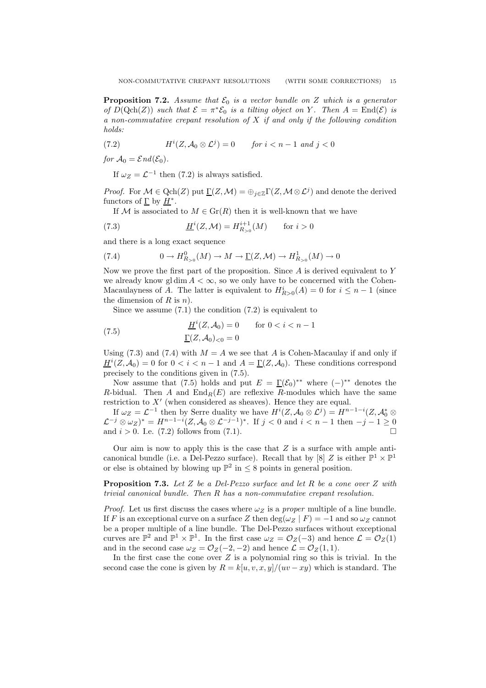**Proposition 7.2.** Assume that  $\mathcal{E}_0$  is a vector bundle on Z which is a generator of  $D(\text{Qch}(Z))$  such that  $\mathcal{E} = \pi^*\mathcal{E}_0$  is a tilting object on Y. Then  $A = \text{End}(\mathcal{E})$  is a non-commutative crepant resolution of  $X$  if and only if the following condition holds:

(7.2) 
$$
H^{i}(Z, \mathcal{A}_{0} \otimes \mathcal{L}^{j}) = 0 \quad \text{for } i < n - 1 \text{ and } j < 0
$$

for  $\mathcal{A}_0 = \mathcal{E} nd(\mathcal{E}_0)$ .

If  $\omega_Z = \mathcal{L}^{-1}$  then (7.2) is always satisfied.

*Proof.* For  $\mathcal{M} \in \text{Qch}(Z)$  put  $\underline{\Gamma}(Z, \mathcal{M}) = \bigoplus_{j \in \mathbb{Z}} \Gamma(Z, \mathcal{M} \otimes \mathcal{L}^j)$  and denote the derived functors of  $\underline{\Gamma}$  by  $\underline{H}^*$ .

If M is associated to  $M \in \mathrm{Gr}(R)$  then it is well-known that we have

(7.3) 
$$
\underline{H}^i(Z, \mathcal{M}) = H^{i+1}_{R_{>0}}(M) \quad \text{for } i > 0
$$

and there is a long exact sequence

(7.4) 
$$
0 \to H_{R_{>0}}^0(M) \to M \to \underline{\Gamma}(Z, \mathcal{M}) \to H_{R_{>0}}^1(M) \to 0
$$

Now we prove the first part of the proposition. Since  $A$  is derived equivalent to  $Y$ we already know gl dim  $A < \infty$ , so we only have to be concerned with the Cohen-Macaulayness of A. The latter is equivalent to  $H_{R>0}^i(A) = 0$  for  $i \leq n-1$  (since the dimension of R is  $n$ ).

Since we assume  $(7.1)$  the condition  $(7.2)$  is equivalent to

(7.5) 
$$
\underline{H}^{i}(Z, A_{0}) = 0 \quad \text{for } 0 < i < n - 1
$$

$$
\underline{\Gamma}(Z, A_{0})_{< 0} = 0
$$

Using (7.3) and (7.4) with  $M = A$  we see that A is Cohen-Macaulay if and only if  $\underline{H}^i(Z, \mathcal{A}_0) = 0$  for  $0 < i < n - 1$  and  $A = \underline{\Gamma}(Z, \mathcal{A}_0)$ . These conditions correspond precisely to the conditions given in (7.5).

Now assume that (7.5) holds and put  $E = \Gamma(\mathcal{E}_0)^{**}$  where  $(-)^{**}$  denotes the R-bidual. Then A and  $\text{End}_R(E)$  are reflexive R-modules which have the same restriction to  $X'$  (when considered as sheaves). Hence they are equal.

If  $\omega_Z = \mathcal{L}^{-1}$  then by Serre duality we have  $H^i(Z, \mathcal{A}_0 \otimes \mathcal{L}^j) = H^{n-1-i}(Z, \mathcal{A}_0^* \otimes$  $\mathcal{L}^{-j} \otimes \omega_Z^* = H^{n-1-i}(Z, \mathcal{A}_0 \otimes \mathcal{L}^{-j-1})^*$ . If  $j < 0$  and  $i < n-1$  then  $-j-1 \geq 0$ and  $i > 0$ . I.e. (7.2) follows from (7.1).

Our aim is now to apply this is the case that  $Z$  is a surface with ample anticanonical bundle (i.e. a Del-Pezzo surface). Recall that by [8] Z is either  $\mathbb{P}^1 \times \mathbb{P}^1$ or else is obtained by blowing up  $\mathbb{P}^2$  in  $\leq 8$  points in general position.

**Proposition 7.3.** Let Z be a Del-Pezzo surface and let R be a cone over Z with trivial canonical bundle. Then R has a non-commutative crepant resolution.

*Proof.* Let us first discuss the cases where  $\omega_Z$  is a proper multiple of a line bundle. If F is an exceptional curve on a surface Z then  $\deg(\omega_Z \mid F) = -1$  and so  $\omega_Z$  cannot be a proper multiple of a line bundle. The Del-Pezzo surfaces without exceptional curves are  $\mathbb{P}^2$  and  $\mathbb{P}^1 \times \mathbb{P}^1$ . In the first case  $\omega_Z = \mathcal{O}_Z(-3)$  and hence  $\mathcal{L} = \mathcal{O}_Z(1)$ and in the second case  $\omega_Z = \mathcal{O}_Z(-2, -2)$  and hence  $\mathcal{L} = \mathcal{O}_Z(1, 1)$ .

In the first case the cone over  $Z$  is a polynomial ring so this is trivial. In the second case the cone is given by  $R = k[u, v, x, y]/(uv - xy)$  which is standard. The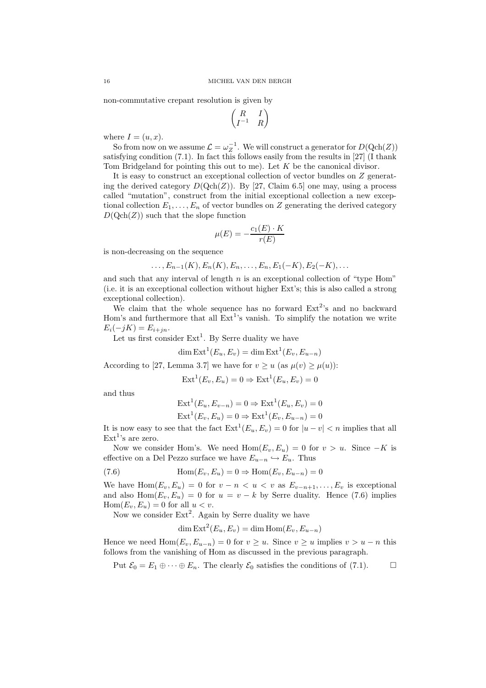non-commutative crepant resolution is given by

$$
\begin{pmatrix} R & I \\ I^{-1} & R \end{pmatrix}
$$

where  $I = (u, x)$ .

So from now on we assume  $\mathcal{L} = \omega_Z^{-1}$ . We will construct a generator for  $D(\text{Qch}(Z))$ satisfying condition (7.1). In fact this follows easily from the results in [27] (I thank Tom Bridgeland for pointing this out to me). Let  $K$  be the canonical divisor.

It is easy to construct an exceptional collection of vector bundles on Z generating the derived category  $D(Qch(Z))$ . By [27, Claim 6.5] one may, using a process called "mutation", construct from the initial exceptional collection a new exceptional collection  $E_1, \ldots, E_n$  of vector bundles on Z generating the derived category  $D(Qch(Z))$  such that the slope function

$$
\mu(E) = -\frac{c_1(E) \cdot K}{r(E)}
$$

is non-decreasing on the sequence

$$
\ldots, E_{n-1}(K), E_n(K), E_n, \ldots, E_n, E_1(-K), E_2(-K), \ldots
$$

and such that any interval of length  $n$  is an exceptional collection of "type Hom" (i.e. it is an exceptional collection without higher Ext's; this is also called a strong exceptional collection).

We claim that the whole sequence has no forward  $Ext<sup>2</sup>'s$  and no backward Hom's and furthermore that all  $Ext<sup>1</sup>$ 's vanish. To simplify the notation we write  $E_i(-jK) = E_{i+jn}$ .

Let us first consider  $Ext<sup>1</sup>$ . By Serre duality we have

$$
\dim \text{Ext}^1(E_u, E_v) = \dim \text{Ext}^1(E_v, E_{u-n})
$$

According to [27, Lemma 3.7] we have for  $v \ge u$  (as  $\mu(v) \ge \mu(u)$ ):

$$
Ext1(Ev, Eu) = 0 \Rightarrow Ext1(Eu, Ev) = 0
$$

and thus

$$
Ext1(Eu, Ev-n) = 0 \Rightarrow Ext1(Eu, Ev) = 0
$$
  

$$
Ext1(Ev, Eu) = 0 \Rightarrow Ext1(Ev, Eu-n) = 0
$$

It is now easy to see that the fact  $\text{Ext}^1(E_u, E_v) = 0$  for  $|u - v| < n$  implies that all  $Ext<sup>1</sup>'s$  are zero.

Now we consider Hom's. We need  $\text{Hom}(E_v, E_u) = 0$  for  $v > u$ . Since  $-K$  is effective on a Del Pezzo surface we have  $E_{u-n} \hookrightarrow E_u$ . Thus

(7.6) 
$$
\operatorname{Hom}(E_v, E_u) = 0 \Rightarrow \operatorname{Hom}(E_v, E_{u-n}) = 0
$$

We have  $\text{Hom}(E_v, E_u) = 0$  for  $v - n < u < v$  as  $E_{v-n+1}, \ldots, E_v$  is exceptional and also  $\text{Hom}(E_v, E_u) = 0$  for  $u = v - k$  by Serre duality. Hence (7.6) implies  $\text{Hom}(E_v, E_u) = 0$  for all  $u < v$ .

Now we consider  $Ext<sup>2</sup>$ . Again by Serre duality we have

dim  $\text{Ext}^2(E_u, E_v) = \text{dim Hom}(E_v, E_{u-n})$ 

Hence we need Hom $(E_v, E_{u-n}) = 0$  for  $v \geq u$ . Since  $v \geq u$  implies  $v > u - n$  this follows from the vanishing of Hom as discussed in the previous paragraph.

Put  $\mathcal{E}_0 = E_1 \oplus \cdots \oplus E_n$ . The clearly  $\mathcal{E}_0$  satisfies the conditions of (7.1).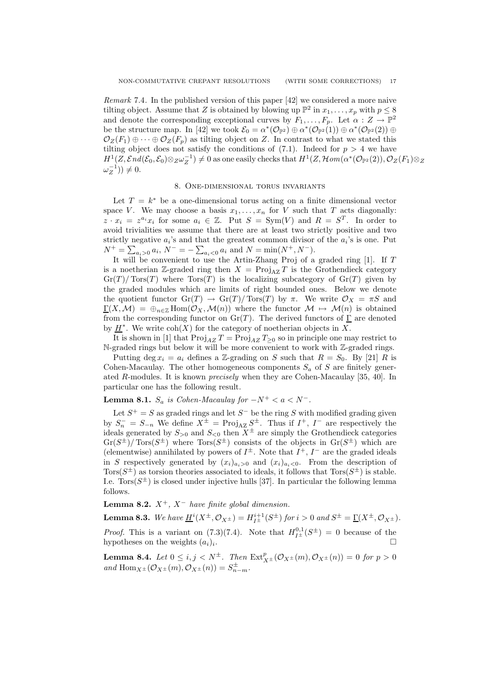Remark 7.4. In the published version of this paper [42] we considered a more naive tilting object. Assume that Z is obtained by blowing up  $\mathbb{P}^2$  in  $x_1, \ldots, x_p$  with  $p \leq 8$ and denote the corresponding exceptional curves by  $F_1, \ldots, F_p$ . Let  $\alpha : Z \to \mathbb{P}^2$ be the structure map. In [42] we took  $\mathcal{E}_0 = \alpha^*(\mathcal{O}_{\mathbb{P}^2}) \oplus \alpha^*(\mathcal{O}_{\mathbb{P}^2}(1)) \oplus \alpha^*(\mathcal{O}_{\mathbb{P}^2}(2)) \oplus$  $\mathcal{O}_Z(F_1) \oplus \cdots \oplus \mathcal{O}_Z(F_n)$  as tilting object on Z. In contrast to what we stated this tilting object does not satisfy the conditions of  $(7.1)$ . Indeed for  $p > 4$  we have  $H^1(Z, \mathcal{E}nd(\mathcal{E}_0, \mathcal{E}_0)\otimes_Z \omega_Z^{-1}) \neq 0$  as one easily checks that  $H^1(Z, \mathcal{H}om(\alpha^*(\mathcal{O}_{\mathbb{P}^2}(2)), \mathcal{O}_Z(F_1)\otimes_Z \omega_Z^{-1})$  $\omega_Z^{-1})$   $\neq 0$ .

# 8. One-dimensional torus invariants

Let  $T = k^*$  be a one-dimensional torus acting on a finite dimensional vector space V. We may choose a basis  $x_1, \ldots, x_n$  for V such that T acts diagonally:  $z \cdot x_i = z^{a_i} x_i$  for some  $a_i \in \mathbb{Z}$ . Put  $S = \text{Sym}(V)$  and  $R = S^T$ . In order to avoid trivialities we assume that there are at least two strictly positive and two strictly negative  $a_i$ 's and that the greatest common divisor of the  $a_i$ 's is one. Put  $N^+ = \sum_{a_i>0} a_i, N^- = -\sum_{a_i<0} a_i$  and  $N = \min(N^+, N^-)$ .

It will be convenient to use the Artin-Zhang Proj of a graded ring  $[1]$ . If T is a noetherian Z-graded ring then  $X = \text{Proj}_{AZ} T$  is the Grothendieck category  $\operatorname{Gr}(T)/\operatorname{Tors}(T)$  where  $\operatorname{Tors}(T)$  is the localizing subcategory of  $\operatorname{Gr}(T)$  given by the graded modules which are limits of right bounded ones. Below we denote the quotient functor  $\text{Gr}(T) \to \text{Gr}(T) / \text{Tor}(T)$  by  $\pi$ . We write  $\mathcal{O}_X = \pi S$  and  $\Gamma(X,\mathcal{M}) = \bigoplus_{n\in\mathbb{Z}} \text{Hom}(\mathcal{O}_X,\mathcal{M}(n))$  where the functor  $\mathcal{M} \mapsto \mathcal{M}(n)$  is obtained from the corresponding functor on  $\text{Gr}(T)$ . The derived functors of  $\underline{\Gamma}$  are denoted by  $\underline{H}^*$ . We write  $\text{coh}(X)$  for the category of noetherian objects in X.

It is shown in [1] that  $\text{Proj}_{AZ} T = \text{Proj}_{AZ} T_{\geq 0}$  so in principle one may restrict to N-graded rings but below it will be more convenient to work with Z-graded rings.

Putting deg  $x_i = a_i$  defines a Z-grading on S such that  $R = S_0$ . By [21] R is Cohen-Macaulay. The other homogeneous components  $S_a$  of S are finitely generated R-modules. It is known precisely when they are Cohen-Macaulay [35, 40]. In particular one has the following result.

**Lemma 8.1.**  $S_a$  is Cohen-Macaulay for  $-N^+ < a < N^-$ .

Let  $S^+ = S$  as graded rings and let  $S^-$  be the ring S with modified grading given by  $S_n^- = S_{-n}$  We define  $X^{\pm} = \text{Proj}_{AZ} S^{\pm}$ . Thus if  $I^+, I^-$  are respectively the ideals generated by  $S_{>0}$  and  $S_{<0}$  then  $X^{\pm}$  are simply the Grothendieck categories  $Gr(S^{\pm})/Tors(S^{\pm})$  where  $Tors(S^{\pm})$  consists of the objects in  $Gr(S^{\pm})$  which are (elementwise) annihilated by powers of  $I^{\pm}$ . Note that  $I^{+}$ ,  $I^{-}$  are the graded ideals in S respectively generated by  $(x_i)_{a_i>0}$  and  $(x_i)_{a_i<0}$ . From the description of Tors( $S^{\pm}$ ) as torsion theories associated to ideals, it follows that  $Tors(S^{\pm})$  is stable. I.e.  $Tors(S^{\pm})$  is closed under injective hulls [37]. In particular the following lemma follows.

**Lemma 8.2.**  $X^+$ ,  $X^-$  have finite global dimension.

**Lemma 8.3.** We have  $\underline{H}^i(X^{\pm}, \mathcal{O}_{X^{\pm}}) = H_{I^{\pm}}^{i+1}(S^{\pm})$  for  $i > 0$  and  $S^{\pm} = \underline{\Gamma}(X^{\pm}, \mathcal{O}_{X^{\pm}})$ . *Proof.* This is a variant on (7.3)(7.4). Note that  $H_{I^{\pm}}^{0,1}(S^{\pm}) = 0$  because of the hypotheses on the weights  $(a_i)_i$ . .

**Lemma 8.4.** Let  $0 \le i, j < N^{\pm}$ . Then  $\text{Ext}_{X^{\pm}}^p(\mathcal{O}_{X^{\pm}}(m), \mathcal{O}_{X^{\pm}}(n)) = 0$  for  $p > 0$ and  $\text{Hom}_{X^{\pm}}(\mathcal{O}_{X^{\pm}}(m), \mathcal{O}_{X^{\pm}}(n)) = S_{n-m}^{\pm}.$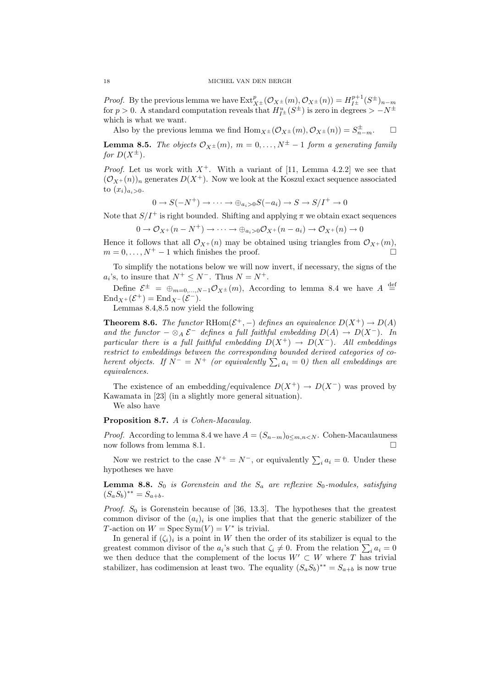*Proof.* By the previous lemma we have  $\text{Ext}_{X\pm}^p(\mathcal{O}_{X\pm}(m), \mathcal{O}_{X\pm}(n)) = H_{I\pm}^{p+1}(S^{\pm})_{n-m}$ for  $p > 0$ . A standard computation reveals that  $H_{I^{\pm}}^{u}(S^{\pm})$  is zero in degrees  $> -N^{\pm}$ which is what we want.

Also by the previous lemma we find  $\text{Hom}_{X^{\pm}}(\mathcal{O}_{X^{\pm}}(m), \mathcal{O}_{X^{\pm}}(n)) = S_{n-m}^{\pm}.$ 

**Lemma 8.5.** The objects  $\mathcal{O}_{X^{\pm}}(m)$ ,  $m = 0, \ldots, N^{\pm} - 1$  form a generating family for  $D(X^{\pm})$ .

*Proof.* Let us work with  $X^+$ . With a variant of [11, Lemma 4.2.2] we see that  $(\mathcal{O}_{X^+}(n))_n$  generates  $D(X^+)$ . Now we look at the Koszul exact sequence associated to  $(x_i)_{a_i>0}$ .

$$
0 \to S(-N^+) \to \cdots \to \oplus_{a_i>0} S(-a_i) \to S \to S/I^+ \to 0
$$

Note that  $S/I^+$  is right bounded. Shifting and applying  $\pi$  we obtain exact sequences

$$
0 \to \mathcal{O}_{X^+}(n-N^+) \to \cdots \to \oplus_{a_i>0} \mathcal{O}_{X^+}(n-a_i) \to \mathcal{O}_{X^+}(n) \to 0
$$

Hence it follows that all  $\mathcal{O}_{X^+}(n)$  may be obtained using triangles from  $\mathcal{O}_{X^+}(m)$ ,  $m = 0, \ldots, N^+ - 1$  which finishes the proof.

To simplify the notations below we will now invert, if necessary, the signs of the  $a_i$ 's, to insure that  $N^+ \leq N^-$ . Thus  $N = N^+$ .

Define  $\mathcal{E}^{\pm} = \bigoplus_{m=0,\dots,N-1} \mathcal{O}_{X^{\pm}}(m)$ , According to lemma 8.4 we have  $A \stackrel{\text{def}}{=}$  $\text{End}_{X^+}(\mathcal{E}^+) = \text{End}_{X^-}(\mathcal{E}^-).$ 

Lemmas 8.4,8.5 now yield the following

**Theorem 8.6.** The functor RHom $(\mathcal{E}^+,-)$  defines an equivalence  $D(X^+) \to D(A)$ and the functor  $-\otimes_A \mathcal{E}^-$  defines a full faithful embedding  $D(A) \to D(X^-)$ . In particular there is a full faithful embedding  $D(X^+) \rightarrow D(X^-)$ . All embeddings restrict to embeddings between the corresponding bounded derived categories of coherent objects. If  $N^- = N^+$  (or equivalently  $\sum_i a_i = 0$ ) then all embeddings are equivalences.

The existence of an embedding/equivalence  $D(X^+) \to D(X^-)$  was proved by Kawamata in [23] (in a slightly more general situation).

We also have

Proposition 8.7. A is Cohen-Macaulay.

*Proof.* According to lemma 8.4 we have  $A = (S_{n-m})_{0 \leq m,n \leq N}$ . Cohen-Macaulauness now follows from lemma 8.1.

Now we restrict to the case  $N^+ = N^-$ , or equivalently  $\sum_i a_i = 0$ . Under these hypotheses we have

**Lemma 8.8.**  $S_0$  is Gorenstein and the  $S_a$  are reflexive  $S_0$ -modules, satisfying  $(S_a S_b)^{**} = S_{a+b}.$ 

*Proof.*  $S_0$  is Gorenstein because of [36, 13.3]. The hypotheses that the greatest common divisor of the  $(a_i)_i$  is one implies that that the generic stabilizer of the T-action on  $W = \text{Spec } \text{Sym}(V) = V^*$  is trivial.

In general if  $(\zeta_i)_i$  is a point in W then the order of its stabilizer is equal to the greatest common divisor of the  $a_i$ 's such that  $\zeta_i \neq 0$ . From the relation  $\sum_i a_i = 0$ we then deduce that the complement of the locus  $W' \subset W$  where T has trivial stabilizer, has codimension at least two. The equality  $(S_a S_b)^{**} = S_{a+b}$  is now true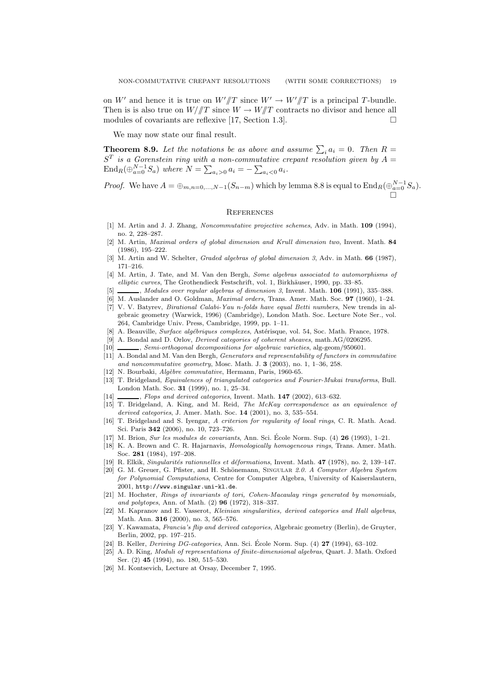on W' and hence it is true on  $W'/T$  since  $W' \to W'/T$  is a principal T-bundle. Then is is also true on  $W/\sqrt{T}$  since  $W \to W/\sqrt{T}$  contracts no divisor and hence all modules of covariants are reflexive [17, Section 1.3].

We may now state our final result.

**Theorem 8.9.** Let the notations be as above and assume  $\sum_i a_i = 0$ . Then  $R =$  $S<sup>T</sup>$  is a Gorenstein ring with a non-commutative crepant resolution given by  $A =$ End<sub>R</sub>( $\bigoplus_{a=0}^{N-1} S_a$ ) where  $N = \sum_{a_i > 0} a_i = -\sum_{a_i < 0} a_i$ .

*Proof.* We have  $A = \bigoplus_{m,n=0,\dots,N-1} (S_{n-m})$  which by lemma 8.8 is equal to  $\text{End}_R(\bigoplus_{a=0}^{N-1} S_a)$ .

#### **REFERENCES**

- [1] M. Artin and J. J. Zhang, Noncommutative projective schemes, Adv. in Math. 109 (1994), no. 2, 228–287.
- [2] M. Artin, Maximal orders of global dimension and Krull dimension two, Invent. Math. 84 (1986), 195–222.
- [3] M. Artin and W. Schelter, *Graded algebras of global dimension 3*, Adv. in Math. **66** (1987), 171–216.
- [4] M. Artin, J. Tate, and M. Van den Bergh, Some algebras associated to automorphisms of elliptic curves, The Grothendieck Festschrift, vol. 1, Birkhäuser, 1990, pp. 33–85.
- $\Box$ , Modules over regular algebras of dimension 3, Invent. Math. 106 (1991), 335-388.
- [6] M. Auslander and O. Goldman, *Maximal orders*, Trans. Amer. Math. Soc. 97 (1960), 1–24.
- [7] V. V. Batyrev, Birational Calabi-Yau n-folds have equal Betti numbers, New trends in algebraic geometry (Warwick, 1996) (Cambridge), London Math. Soc. Lecture Note Ser., vol. 264, Cambridge Univ. Press, Cambridge, 1999, pp. 1–11.
- [8] A. Beauville, Surface algébriques complexes, Astérisque, vol. 54, Soc. Math. France, 1978.
- [9] A. Bondal and D. Orlov, Derived categories of coherent sheaves, math.AG/0206295.
- [10] , Semi-orthogonal decompositions for algebraic varieties, alg-geom/950601.
- [11] A. Bondal and M. Van den Bergh, *Generators and representability of functors in commutative* and noncommutative geometry, Mosc. Math. J.  $3$  (2003), no. 1, 1-36, 258.
- [12] N. Bourbaki, Algèbre commutative, Hermann, Paris, 1960-65.
- [13] T. Bridgeland, Equivalences of triangulated categories and Fourier-Mukai transforms, Bull. London Math. Soc. 31 (1999), no. 1, 25–34.
- [14] , Flops and derived categories, Invent. Math. 147 (2002), 613-632.
- [15] T. Bridgeland, A. King, and M. Reid, The McKay correspondence as an equivalence of derived categories, J. Amer. Math. Soc. 14 (2001), no. 3, 535–554.
- [16] T. Bridgeland and S. Iyengar, A criterion for regularity of local rings, C. R. Math. Acad. Sci. Paris 342 (2006), no. 10, 723–726.
- $[17]$  M. Brion, Sur les modules de covariants, Ann. Sci. École Norm. Sup.  $(4)$  26 (1993), 1–21.
- [18] K. A. Brown and C. R. Hajarnavis, Homologically homogeneous rings, Trans. Amer. Math. Soc. 281 (1984), 197–208.
- [19] R. Elkik, Singularités rationnelles et déformations, Invent. Math. 47 (1978), no. 2, 139-147.
- [20] G. M. Greuer, G. Pfister, and H. Schönemann, SINGULAR 2.0. A Computer Algebra System for Polynomial Computations, Centre for Computer Algebra, University of Kaiserslautern, 2001, http://www.singular.uni-kl.de.
- [21] M. Hochster, Rings of invariants of tori, Cohen-Macaulay rings generated by monomials, and polytopes, Ann. of Math. (2) 96 (1972), 318–337.
- [22] M. Kapranov and E. Vasserot, Kleinian singularities, derived categories and Hall algebras, Math. Ann. 316 (2000), no. 3, 565–576.
- [23] Y. Kawamata, Francia's flip and derived categories, Algebraic geometry (Berlin), de Gruyter, Berlin, 2002, pp. 197–215.
- [24] B. Keller, *Deriving DG-categories*, Ann. Sci. École Norm. Sup.  $(4)$  **27** (1994), 63–102.
- [25] A. D. King, Moduli of representations of finite-dimensional algebras, Quart. J. Math. Oxford Ser. (2) 45 (1994), no. 180, 515–530.
- [26] M. Kontsevich, Lecture at Orsay, December 7, 1995.